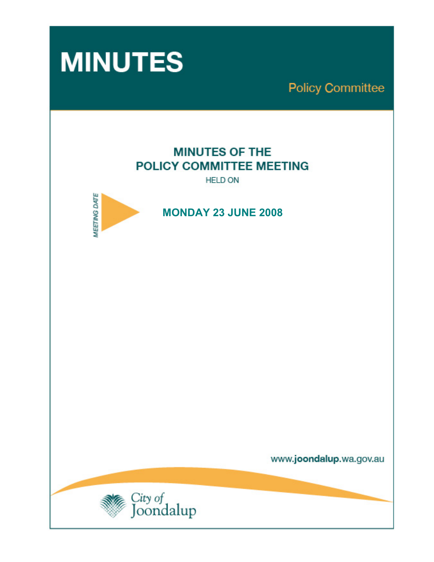

**Policy Committee** 

# **MINUTES OF THE** POLICY COMMITTEE MEETING

**HELD ON** 



 **MONDAY 23 JUNE 2008** 

www.joondalup.wa.gov.au

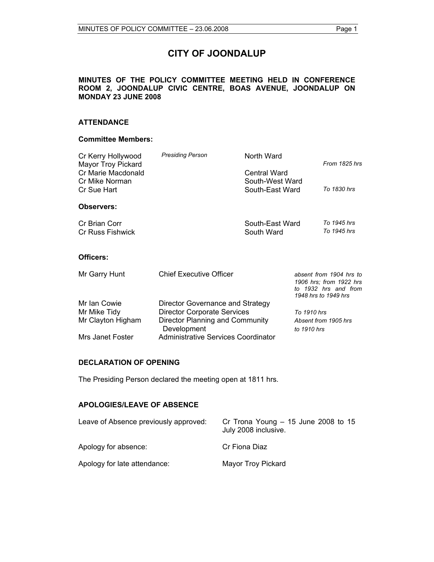## **CITY OF JOONDALUP**

#### **MINUTES OF THE POLICY COMMITTEE MEETING HELD IN CONFERENCE ROOM 2, JOONDALUP CIVIC CENTRE, BOAS AVENUE, JOONDALUP ON MONDAY 23 JUNE 2008**

#### **ATTENDANCE**

#### **Committee Members:**

| Cr Kerry Hollywood<br>Mayor Troy Pickard            | <b>Presiding Person</b>                        | North Ward                                         |             | From 1825 hrs                                                                                      |
|-----------------------------------------------------|------------------------------------------------|----------------------------------------------------|-------------|----------------------------------------------------------------------------------------------------|
| Cr Marie Macdonald<br>Cr Mike Norman<br>Cr Sue Hart |                                                | Central Ward<br>South-West Ward<br>South-East Ward |             | To 1830 hrs                                                                                        |
| <b>Observers:</b>                                   |                                                |                                                    |             |                                                                                                    |
| Cr Brian Corr<br><b>Cr Russ Fishwick</b>            |                                                | South-East Ward<br>South Ward                      |             | To 1945 hrs<br>To 1945 hrs                                                                         |
| Officers:                                           |                                                |                                                    |             |                                                                                                    |
| Mr Garry Hunt                                       | <b>Chief Executive Officer</b>                 |                                                    |             | absent from 1904 hrs to<br>1906 hrs: from 1922 hrs<br>to 1932 hrs and from<br>1948 hrs to 1949 hrs |
| Mr Ian Cowie                                        | Director Governance and Strategy               |                                                    |             |                                                                                                    |
| Mr Mike Tidy                                        | <b>Director Corporate Services</b>             |                                                    | To 1910 hrs |                                                                                                    |
| Mr Clayton Higham                                   | Director Planning and Community<br>Development |                                                    | to 1910 hrs | Absent from 1905 hrs                                                                               |
| Mrs Janet Foster                                    | Administrative Services Coordinator            |                                                    |             |                                                                                                    |

#### **DECLARATION OF OPENING**

The Presiding Person declared the meeting open at 1811 hrs.

#### **APOLOGIES/LEAVE OF ABSENCE**

| Leave of Absence previously approved: | Cr Trona Young $-15$ June 2008 to 15<br>July 2008 inclusive. |
|---------------------------------------|--------------------------------------------------------------|
| Apology for absence:                  | Cr Fiona Diaz                                                |
| Apology for late attendance:          | Mayor Troy Pickard                                           |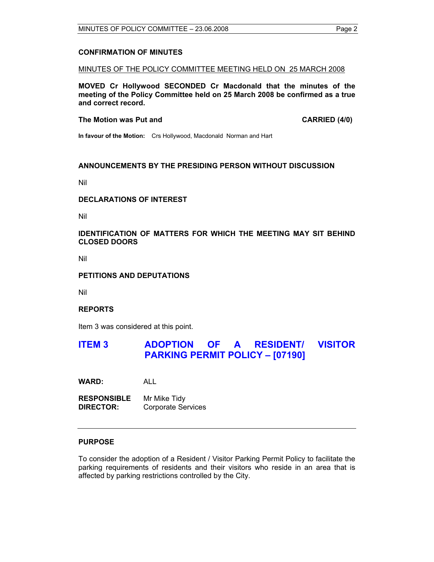#### **CONFIRMATION OF MINUTES**

MINUTES OF THE POLICY COMMITTEE MEETING HELD ON 25 MARCH 2008

**MOVED Cr Hollywood SECONDED Cr Macdonald that the minutes of the meeting of the Policy Committee held on 25 March 2008 be confirmed as a true and correct record.** 

**The Motion was Put and CARRIED (4/0) CARRIED (4/0)** 

**In favour of the Motion:** Crs Hollywood, Macdonald Norman and Hart

#### **ANNOUNCEMENTS BY THE PRESIDING PERSON WITHOUT DISCUSSION**

Nil

#### **DECLARATIONS OF INTEREST**

Nil

#### **IDENTIFICATION OF MATTERS FOR WHICH THE MEETING MAY SIT BEHIND CLOSED DOORS**

Nil

#### **PETITIONS AND DEPUTATIONS**

Nil

#### **REPORTS**

Item 3 was considered at this point.

## **ITEM 3 ADOPTION OF A RESIDENT/ VISITOR PARKING PERMIT POLICY – [07190]**

**WARD:** ALL

**RESPONSIBLE** Mr Mike Tidy **DIRECTOR:** Corporate Services

### **PURPOSE**

To consider the adoption of a Resident / Visitor Parking Permit Policy to facilitate the parking requirements of residents and their visitors who reside in an area that is affected by parking restrictions controlled by the City.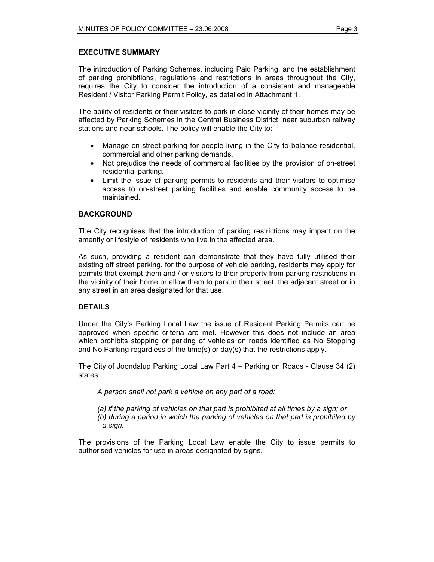#### **EXECUTIVE SUMMARY**

The introduction of Parking Schemes, including Paid Parking, and the establishment of parking prohibitions, regulations and restrictions in areas throughout the City, requires the City to consider the introduction of a consistent and manageable Resident / Visitor Parking Permit Policy, as detailed in Attachment 1.

The ability of residents or their visitors to park in close vicinity of their homes may be affected by Parking Schemes in the Central Business District, near suburban railway stations and near schools. The policy will enable the City to:

- Manage on-street parking for people living in the City to balance residential, commercial and other parking demands.
- Not prejudice the needs of commercial facilities by the provision of on-street residential parking.
- Limit the issue of parking permits to residents and their visitors to optimise access to on-street parking facilities and enable community access to be maintained.

#### **BACKGROUND**

The City recognises that the introduction of parking restrictions may impact on the amenity or lifestyle of residents who live in the affected area.

As such, providing a resident can demonstrate that they have fully utilised their existing off street parking, for the purpose of vehicle parking, residents may apply for permits that exempt them and / or visitors to their property from parking restrictions in the vicinity of their home or allow them to park in their street, the adjacent street or in any street in an area designated for that use.

#### **DETAILS**

Under the City's Parking Local Law the issue of Resident Parking Permits can be approved when specific criteria are met. However this does not include an area which prohibits stopping or parking of vehicles on roads identified as No Stopping and No Parking regardless of the time(s) or day(s) that the restrictions apply.

The City of Joondalup Parking Local Law Part 4 – Parking on Roads - Clause 34 (2) states:

*A person shall not park a vehicle on any part of a road:* 

*(a) if the parking of vehicles on that part is prohibited at all times by a sign; or (b) during a period in which the parking of vehicles on that part is prohibited by a sign.* 

The provisions of the Parking Local Law enable the City to issue permits to authorised vehicles for use in areas designated by signs.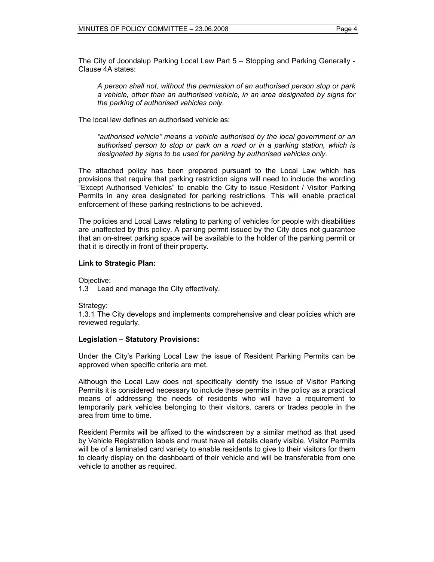The City of Joondalup Parking Local Law Part 5 – Stopping and Parking Generally - Clause 4A states:

*A person shall not, without the permission of an authorised person stop or park a vehicle, other than an authorised vehicle, in an area designated by signs for the parking of authorised vehicles only.* 

The local law defines an authorised vehicle as:

*"authorised vehicle" means a vehicle authorised by the local government or an authorised person to stop or park on a road or in a parking station, which is designated by signs to be used for parking by authorised vehicles only.* 

The attached policy has been prepared pursuant to the Local Law which has provisions that require that parking restriction signs will need to include the wording "Except Authorised Vehicles" to enable the City to issue Resident / Visitor Parking Permits in any area designated for parking restrictions. This will enable practical enforcement of these parking restrictions to be achieved.

The policies and Local Laws relating to parking of vehicles for people with disabilities are unaffected by this policy. A parking permit issued by the City does not guarantee that an on-street parking space will be available to the holder of the parking permit or that it is directly in front of their property.

#### **Link to Strategic Plan:**

Objective:

1.3 Lead and manage the City effectively.

Strategy:

1.3.1 The City develops and implements comprehensive and clear policies which are reviewed regularly.

#### **Legislation – Statutory Provisions:**

Under the City's Parking Local Law the issue of Resident Parking Permits can be approved when specific criteria are met.

Although the Local Law does not specifically identify the issue of Visitor Parking Permits it is considered necessary to include these permits in the policy as a practical means of addressing the needs of residents who will have a requirement to temporarily park vehicles belonging to their visitors, carers or trades people in the area from time to time.

Resident Permits will be affixed to the windscreen by a similar method as that used by Vehicle Registration labels and must have all details clearly visible. Visitor Permits will be of a laminated card variety to enable residents to give to their visitors for them to clearly display on the dashboard of their vehicle and will be transferable from one vehicle to another as required.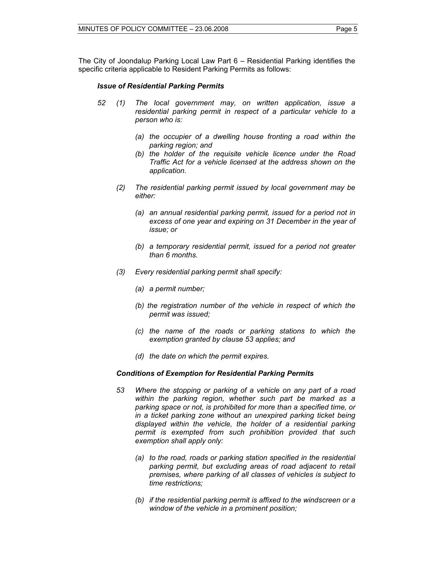The City of Joondalup Parking Local Law Part 6 – Residential Parking identifies the specific criteria applicable to Resident Parking Permits as follows:

#### *Issue of Residential Parking Permits*

- *52 (1) The local government may, on written application, issue a residential parking permit in respect of a particular vehicle to a person who is:* 
	- *(a) the occupier of a dwelling house fronting a road within the parking region; and*
	- *(b) the holder of the requisite vehicle licence under the Road Traffic Act for a vehicle licensed at the address shown on the application.*
	- *(2) The residential parking permit issued by local government may be either:* 
		- *(a) an annual residential parking permit, issued for a period not in excess of one year and expiring on 31 December in the year of issue; or*
		- *(b) a temporary residential permit, issued for a period not greater than 6 months.*
	- *(3) Every residential parking permit shall specify:* 
		- *(a) a permit number;*
		- *(b) the registration number of the vehicle in respect of which the permit was issued;*
		- *(c) the name of the roads or parking stations to which the exemption granted by clause 53 applies; and*
		- *(d) the date on which the permit expires.*

#### *Conditions of Exemption for Residential Parking Permits*

- *53 Where the stopping or parking of a vehicle on any part of a road within the parking region, whether such part be marked as a parking space or not, is prohibited for more than a specified time, or in a ticket parking zone without an unexpired parking ticket being displayed within the vehicle, the holder of a residential parking permit is exempted from such prohibition provided that such exemption shall apply only:* 
	- *(a) to the road, roads or parking station specified in the residential parking permit, but excluding areas of road adjacent to retail premises, where parking of all classes of vehicles is subject to time restrictions;*
	- *(b) if the residential parking permit is affixed to the windscreen or a window of the vehicle in a prominent position;*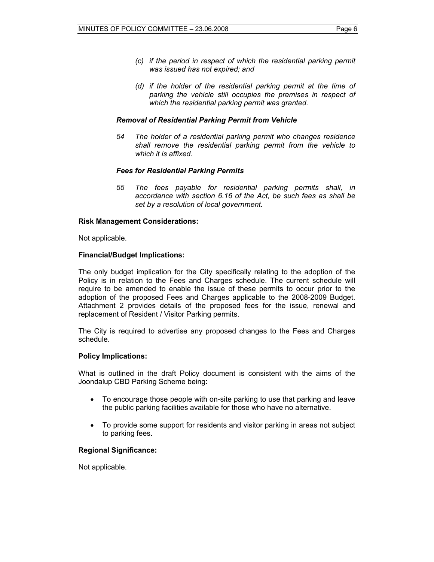- *(c) if the period in respect of which the residential parking permit was issued has not expired; and*
- *(d) if the holder of the residential parking permit at the time of parking the vehicle still occupies the premises in respect of which the residential parking permit was granted.*

#### *Removal of Residential Parking Permit from Vehicle*

 *54 The holder of a residential parking permit who changes residence shall remove the residential parking permit from the vehicle to which it is affixed.* 

#### *Fees for Residential Parking Permits*

 *55 The fees payable for residential parking permits shall, in accordance with section 6.16 of the Act, be such fees as shall be set by a resolution of local government.* 

#### **Risk Management Considerations:**

Not applicable.

#### **Financial/Budget Implications:**

The only budget implication for the City specifically relating to the adoption of the Policy is in relation to the Fees and Charges schedule. The current schedule will require to be amended to enable the issue of these permits to occur prior to the adoption of the proposed Fees and Charges applicable to the 2008-2009 Budget. Attachment 2 provides details of the proposed fees for the issue, renewal and replacement of Resident / Visitor Parking permits.

The City is required to advertise any proposed changes to the Fees and Charges schedule.

#### **Policy Implications:**

What is outlined in the draft Policy document is consistent with the aims of the Joondalup CBD Parking Scheme being:

- To encourage those people with on-site parking to use that parking and leave the public parking facilities available for those who have no alternative.
- To provide some support for residents and visitor parking in areas not subject to parking fees.

#### **Regional Significance:**

Not applicable.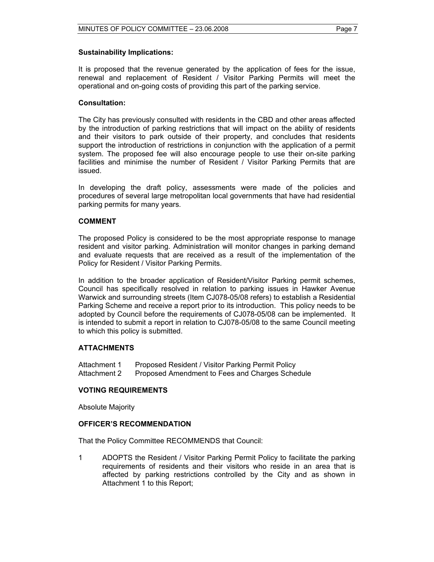It is proposed that the revenue generated by the application of fees for the issue, renewal and replacement of Resident / Visitor Parking Permits will meet the operational and on-going costs of providing this part of the parking service.

#### **Consultation:**

The City has previously consulted with residents in the CBD and other areas affected by the introduction of parking restrictions that will impact on the ability of residents and their visitors to park outside of their property, and concludes that residents support the introduction of restrictions in conjunction with the application of a permit system. The proposed fee will also encourage people to use their on-site parking facilities and minimise the number of Resident / Visitor Parking Permits that are issued.

In developing the draft policy, assessments were made of the policies and procedures of several large metropolitan local governments that have had residential parking permits for many years.

#### **COMMENT**

The proposed Policy is considered to be the most appropriate response to manage resident and visitor parking. Administration will monitor changes in parking demand and evaluate requests that are received as a result of the implementation of the Policy for Resident / Visitor Parking Permits.

In addition to the broader application of Resident/Visitor Parking permit schemes, Council has specifically resolved in relation to parking issues in Hawker Avenue Warwick and surrounding streets (Item CJ078-05/08 refers) to establish a Residential Parking Scheme and receive a report prior to its introduction. This policy needs to be adopted by Council before the requirements of CJ078-05/08 can be implemented. It is intended to submit a report in relation to CJ078-05/08 to the same Council meeting to which this policy is submitted.

#### **ATTACHMENTS**

Attachment 1 Proposed Resident / Visitor Parking Permit Policy Attachment 2 Proposed Amendment to Fees and Charges Schedule

#### **VOTING REQUIREMENTS**

Absolute Majority

#### **OFFICER'S RECOMMENDATION**

That the Policy Committee RECOMMENDS that Council:

1 ADOPTS the Resident / Visitor Parking Permit Policy to facilitate the parking requirements of residents and their visitors who reside in an area that is affected by parking restrictions controlled by the City and as shown in Attachment 1 to this Report;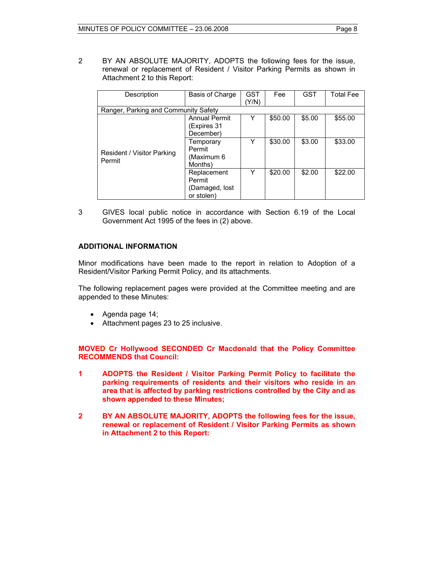2 BY AN ABSOLUTE MAJORITY, ADOPTS the following fees for the issue, renewal or replacement of Resident / Visitor Parking Permits as shown in Attachment 2 to this Report:

| Description                          | Basis of Charge      | GST   | Fee     | <b>GST</b> | <b>Total Fee</b> |
|--------------------------------------|----------------------|-------|---------|------------|------------------|
|                                      |                      | (Y/N) |         |            |                  |
| Ranger, Parking and Community Safety |                      |       |         |            |                  |
|                                      | <b>Annual Permit</b> | Y     | \$50.00 | \$5.00     | \$55.00          |
|                                      | (Expires 31          |       |         |            |                  |
|                                      | December)            |       |         |            |                  |
|                                      | Temporary            | Y     | \$30.00 | \$3.00     | \$33.00          |
| Resident / Visitor Parking           | Permit               |       |         |            |                  |
| Permit                               | (Maximum 6           |       |         |            |                  |
|                                      | Months)              |       |         |            |                  |
|                                      | Replacement          | Y     | \$20.00 | \$2.00     | \$22.00          |
|                                      | Permit               |       |         |            |                  |
|                                      | (Damaged, lost       |       |         |            |                  |
|                                      | or stolen)           |       |         |            |                  |

3 GIVES local public notice in accordance with Section 6.19 of the Local Government Act 1995 of the fees in (2) above.

#### **ADDITIONAL INFORMATION**

Minor modifications have been made to the report in relation to Adoption of a Resident/Visitor Parking Permit Policy, and its attachments.

The following replacement pages were provided at the Committee meeting and are appended to these Minutes:

- Agenda page 14;
- Attachment pages 23 to 25 inclusive.

**MOVED Cr Hollywood SECONDED Cr Macdonald that the Policy Committee RECOMMENDS that Council:** 

- **1 ADOPTS the Resident / Visitor Parking Permit Policy to facilitate the parking requirements of residents and their visitors who reside in an area that is affected by parking restrictions controlled by the City and as shown appended to these Minutes;**
- **2 BY AN ABSOLUTE MAJORITY, ADOPTS the following fees for the issue, renewal or replacement of Resident / Visitor Parking Permits as shown in Attachment 2 to this Report:**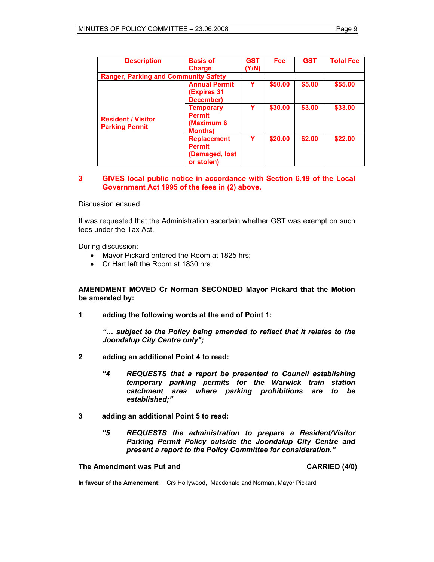| <b>Description</b>                                 | <b>Basis of</b>                                                     | <b>GST</b> | <b>Fee</b> | <b>GST</b> | <b>Total Fee</b> |
|----------------------------------------------------|---------------------------------------------------------------------|------------|------------|------------|------------------|
|                                                    | <b>Charge</b>                                                       | (Y/N)      |            |            |                  |
| <b>Ranger, Parking and Community Safety</b>        |                                                                     |            |            |            |                  |
|                                                    | <b>Annual Permit</b><br><b>(Expires 31)</b><br>December)            | Y          | \$50.00    | \$5.00     | \$55.00          |
| <b>Resident / Visitor</b><br><b>Parking Permit</b> | <b>Temporary</b><br><b>Permit</b><br>(Maximum 6)<br><b>Months)</b>  | v          | \$30.00    | \$3.00     | \$33.00          |
|                                                    | <b>Replacement</b><br><b>Permit</b><br>(Damaged, lost<br>or stolen) | Y          | \$20.00    | \$2.00     | \$22.00          |

#### **3 GIVES local public notice in accordance with Section 6.19 of the Local Government Act 1995 of the fees in (2) above.**

Discussion ensued.

It was requested that the Administration ascertain whether GST was exempt on such fees under the Tax Act.

During discussion:

- Mayor Pickard entered the Room at 1825 hrs;
- Cr Hart left the Room at 1830 hrs.

**AMENDMENT MOVED Cr Norman SECONDED Mayor Pickard that the Motion be amended by:** 

**1 adding the following words at the end of Point 1:** 

 *"… subject to the Policy being amended to reflect that it relates to the Joondalup City Centre only";* 

- **2 adding an additional Point 4 to read:** 
	- *"4 REQUESTS that a report be presented to Council establishing temporary parking permits for the Warwick train station catchment area where parking prohibitions are to be established;"*
- **3 adding an additional Point 5 to read:** 
	- *"5 REQUESTS the administration to prepare a Resident/Visitor Parking Permit Policy outside the Joondalup City Centre and present a report to the Policy Committee for consideration."*

#### The Amendment was Put and **CARRIED** (4/0)

**In favour of the Amendment:** Crs Hollywood, Macdonald and Norman, Mayor Pickard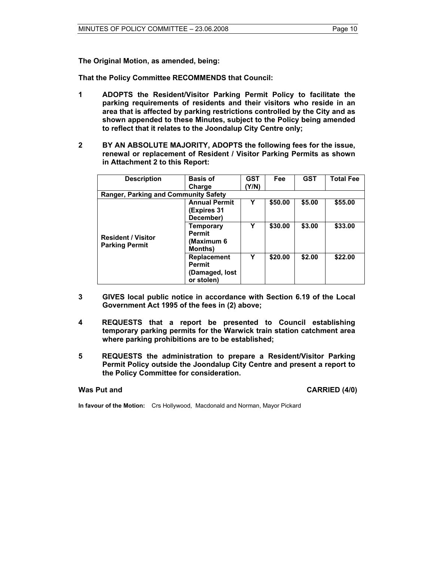**The Original Motion, as amended, being:** 

**That the Policy Committee RECOMMENDS that Council:** 

- **1 ADOPTS the Resident/Visitor Parking Permit Policy to facilitate the parking requirements of residents and their visitors who reside in an area that is affected by parking restrictions controlled by the City and as shown appended to these Minutes, subject to the Policy being amended to reflect that it relates to the Joondalup City Centre only;**
- **2 BY AN ABSOLUTE MAJORITY, ADOPTS the following fees for the issue, renewal or replacement of Resident / Visitor Parking Permits as shown in Attachment 2 to this Report:**

| <b>Description</b>                                 | <b>Basis of</b>                                                     | <b>GST</b> | Fee     | <b>GST</b> | <b>Total Fee</b> |
|----------------------------------------------------|---------------------------------------------------------------------|------------|---------|------------|------------------|
|                                                    | Charge                                                              | Y/N)       |         |            |                  |
| <b>Ranger, Parking and Community Safety</b>        |                                                                     |            |         |            |                  |
|                                                    | <b>Annual Permit</b><br>(Expires 31<br>December)                    | Y          | \$50.00 | \$5.00     | \$55,00          |
| <b>Resident / Visitor</b><br><b>Parking Permit</b> | <b>Temporary</b><br><b>Permit</b><br>(Maximum 6<br><b>Months</b> )  | γ          | \$30.00 | \$3.00     | \$33.00          |
|                                                    | <b>Replacement</b><br><b>Permit</b><br>(Damaged, lost<br>or stolen) | Y          | \$20.00 | \$2.00     | \$22.00          |

- **3 GIVES local public notice in accordance with Section 6.19 of the Local Government Act 1995 of the fees in (2) above;**
- **4 REQUESTS that a report be presented to Council establishing temporary parking permits for the Warwick train station catchment area where parking prohibitions are to be established;**
- **5 REQUESTS the administration to prepare a Resident/Visitor Parking Permit Policy outside the Joondalup City Centre and present a report to the Policy Committee for consideration.**

**Was Put and CARRIED (4/0) CARRIED (4/0)** 

**In favour of the Motion:** Crs Hollywood, Macdonald and Norman, Mayor Pickard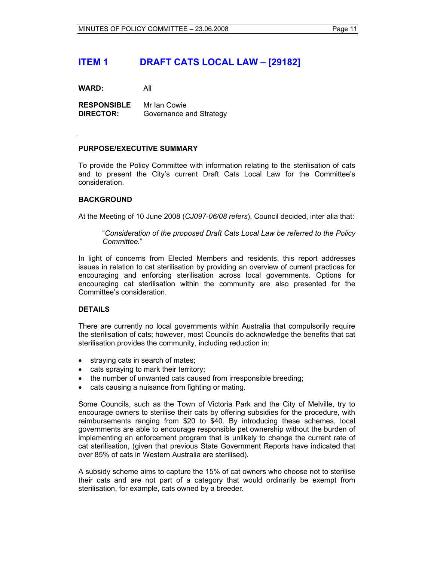## **ITEM 1 DRAFT CATS LOCAL LAW – [29182]**

**WARD:** All

**RESPONSIBLE** Mr Ian Cowie **DIRECTOR:** Governance and Strategy

#### **PURPOSE/EXECUTIVE SUMMARY**

To provide the Policy Committee with information relating to the sterilisation of cats and to present the City's current Draft Cats Local Law for the Committee's consideration.

#### **BACKGROUND**

At the Meeting of 10 June 2008 (*CJ097-06/08 refers*), Council decided, inter alia that:

"*Consideration of the proposed Draft Cats Local Law be referred to the Policy Committee*."

In light of concerns from Elected Members and residents, this report addresses issues in relation to cat sterilisation by providing an overview of current practices for encouraging and enforcing sterilisation across local governments. Options for encouraging cat sterilisation within the community are also presented for the Committee's consideration.

#### **DETAILS**

There are currently no local governments within Australia that compulsorily require the sterilisation of cats; however, most Councils do acknowledge the benefits that cat sterilisation provides the community, including reduction in:

- straying cats in search of mates;
- cats spraying to mark their territory;
- the number of unwanted cats caused from irresponsible breeding;
- cats causing a nuisance from fighting or mating.

Some Councils, such as the Town of Victoria Park and the City of Melville, try to encourage owners to sterilise their cats by offering subsidies for the procedure, with reimbursements ranging from \$20 to \$40. By introducing these schemes, local governments are able to encourage responsible pet ownership without the burden of implementing an enforcement program that is unlikely to change the current rate of cat sterilisation, (given that previous State Government Reports have indicated that over 85% of cats in Western Australia are sterilised).

A subsidy scheme aims to capture the 15% of cat owners who choose not to sterilise their cats and are not part of a category that would ordinarily be exempt from sterilisation, for example, cats owned by a breeder.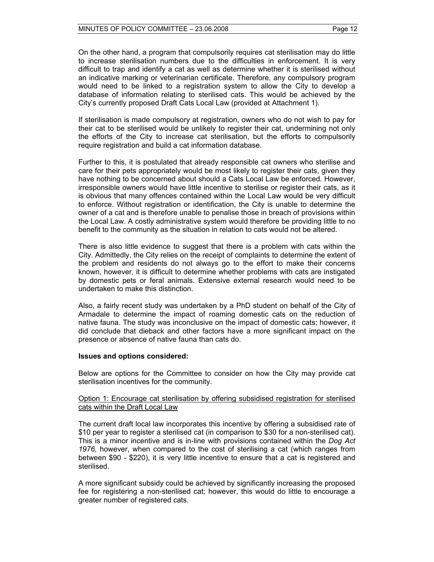On the other hand, a program that compulsorily requires cat sterilisation may do little to increase sterilisation numbers due to the difficulties in enforcement. It is very difficult to trap and identify a cat as well as determine whether it is sterilised without an indicative marking or veterinarian certificate. Therefore, any compulsory program would need to be linked to a registration system to allow the City to develop a database of information relating to sterilised cats. This would be achieved by the City's currently proposed Draft Cats Local Law (provided at Attachment 1).

If sterilisation is made compulsory at registration, owners who do not wish to pay for their cat to be sterilised would be unlikely to register their cat, undermining not only the efforts of the City to increase cat sterilisation, but the efforts to compulsorily require registration and build a cat information database.

Further to this, it is postulated that already responsible cat owners who sterilise and care for their pets appropriately would be most likely to register their cats, given they have nothing to be concerned about should a Cats Local Law be enforced. However, irresponsible owners would have little incentive to sterilise or register their cats, as it is obvious that many offences contained within the Local Law would be very difficult to enforce. Without registration or identification, the City is unable to determine the owner of a cat and is therefore unable to penalise those in breach of provisions within the Local Law. A costly administrative system would therefore be providing little to no benefit to the community as the situation in relation to cats would not be altered.

There is also little evidence to suggest that there is a problem with cats within the City. Admittedly, the City relies on the receipt of complaints to determine the extent of the problem and residents do not always go to the effort to make their concerns known, however, it is difficult to determine whether problems with cats are instigated by domestic pets or feral animals. Extensive external research would need to be undertaken to make this distinction.

Also, a fairly recent study was undertaken by a PhD student on behalf of the City of Armadale to determine the impact of roaming domestic cats on the reduction of native fauna. The study was inconclusive on the impact of domestic cats; however, it did conclude that dieback and other factors have a more significant impact on the presence or absence of native fauna than cats do.

#### **Issues and options considered:**

Below are options for the Committee to consider on how the City may provide cat sterilisation incentives for the community.

#### Option 1: Encourage cat sterilisation by offering subsidised registration for sterilised cats within the Draft Local Law

The current draft local law incorporates this incentive by offering a subsidised rate of \$10 per year to register a sterilised cat (in comparison to \$30 for a non-sterilised cat). This is a minor incentive and is in-line with provisions contained within the *Dog Act 1976*, however, when compared to the cost of sterilising a cat (which ranges from between \$90 - \$220), it is very little incentive to ensure that a cat is registered and sterilised.

A more significant subsidy could be achieved by significantly increasing the proposed fee for registering a non-sterilised cat; however, this would do little to encourage a greater number of registered cats.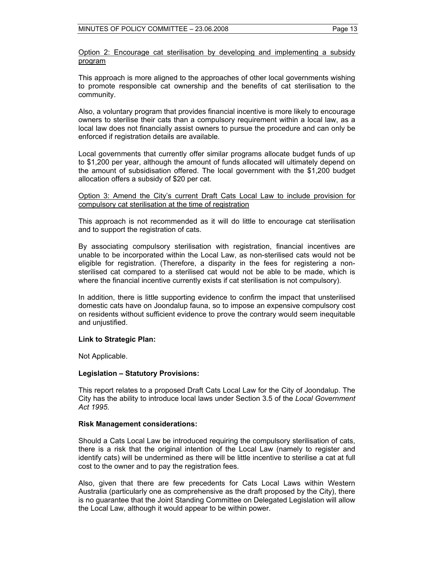Option 2: Encourage cat sterilisation by developing and implementing a subsidy program

This approach is more aligned to the approaches of other local governments wishing to promote responsible cat ownership and the benefits of cat sterilisation to the community.

Also, a voluntary program that provides financial incentive is more likely to encourage owners to sterilise their cats than a compulsory requirement within a local law, as a local law does not financially assist owners to pursue the procedure and can only be enforced if registration details are available.

Local governments that currently offer similar programs allocate budget funds of up to \$1,200 per year, although the amount of funds allocated will ultimately depend on the amount of subsidisation offered. The local government with the \$1,200 budget allocation offers a subsidy of \$20 per cat.

Option 3: Amend the City's current Draft Cats Local Law to include provision for compulsory cat sterilisation at the time of registration

This approach is not recommended as it will do little to encourage cat sterilisation and to support the registration of cats.

By associating compulsory sterilisation with registration, financial incentives are unable to be incorporated within the Local Law, as non-sterilised cats would not be eligible for registration. (Therefore, a disparity in the fees for registering a nonsterilised cat compared to a sterilised cat would not be able to be made, which is where the financial incentive currently exists if cat sterilisation is not compulsory).

In addition, there is little supporting evidence to confirm the impact that unsterilised domestic cats have on Joondalup fauna, so to impose an expensive compulsory cost on residents without sufficient evidence to prove the contrary would seem inequitable and unjustified.

#### **Link to Strategic Plan:**

Not Applicable.

#### **Legislation – Statutory Provisions:**

This report relates to a proposed Draft Cats Local Law for the City of Joondalup. The City has the ability to introduce local laws under Section 3.5 of the *Local Government Act 1995*.

#### **Risk Management considerations:**

Should a Cats Local Law be introduced requiring the compulsory sterilisation of cats, there is a risk that the original intention of the Local Law (namely to register and identify cats) will be undermined as there will be little incentive to sterilise a cat at full cost to the owner and to pay the registration fees.

Also, given that there are few precedents for Cats Local Laws within Western Australia (particularly one as comprehensive as the draft proposed by the City), there is no guarantee that the Joint Standing Committee on Delegated Legislation will allow the Local Law, although it would appear to be within power.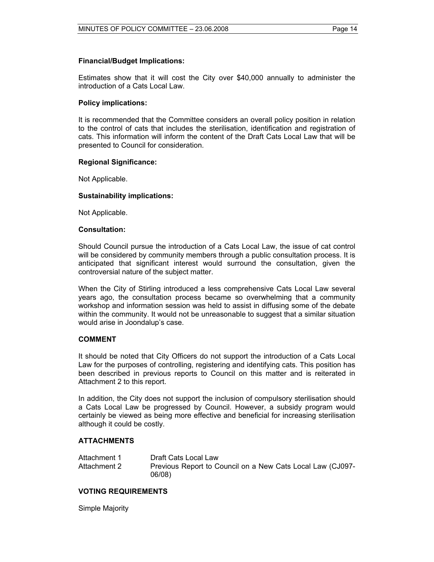#### **Financial/Budget Implications:**

Estimates show that it will cost the City over \$40,000 annually to administer the introduction of a Cats Local Law.

#### **Policy implications:**

It is recommended that the Committee considers an overall policy position in relation to the control of cats that includes the sterilisation, identification and registration of cats. This information will inform the content of the Draft Cats Local Law that will be presented to Council for consideration.

#### **Regional Significance:**

Not Applicable.

#### **Sustainability implications:**

Not Applicable.

#### **Consultation:**

Should Council pursue the introduction of a Cats Local Law, the issue of cat control will be considered by community members through a public consultation process. It is anticipated that significant interest would surround the consultation, given the controversial nature of the subject matter.

When the City of Stirling introduced a less comprehensive Cats Local Law several years ago, the consultation process became so overwhelming that a community workshop and information session was held to assist in diffusing some of the debate within the community. It would not be unreasonable to suggest that a similar situation would arise in Joondalup's case.

#### **COMMENT**

It should be noted that City Officers do not support the introduction of a Cats Local Law for the purposes of controlling, registering and identifying cats. This position has been described in previous reports to Council on this matter and is reiterated in Attachment 2 to this report.

In addition, the City does not support the inclusion of compulsory sterilisation should a Cats Local Law be progressed by Council. However, a subsidy program would certainly be viewed as being more effective and beneficial for increasing sterilisation although it could be costly.

#### **ATTACHMENTS**

| Attachment 1 | Draft Cats Local Law                                       |
|--------------|------------------------------------------------------------|
| Attachment 2 | Previous Report to Council on a New Cats Local Law (CJ097- |
|              | 06/08)                                                     |

#### **VOTING REQUIREMENTS**

Simple Majority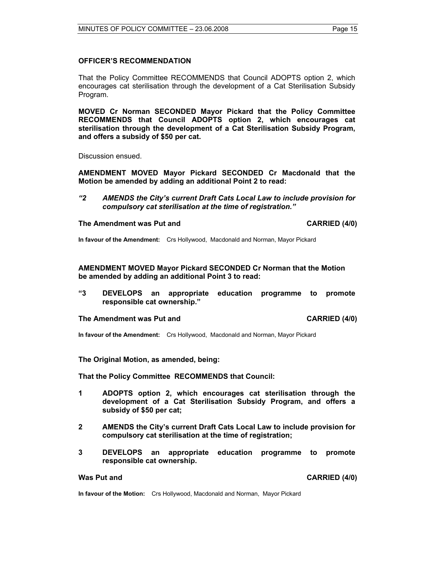#### **OFFICER'S RECOMMENDATION**

That the Policy Committee RECOMMENDS that Council ADOPTS option 2, which encourages cat sterilisation through the development of a Cat Sterilisation Subsidy Program.

**MOVED Cr Norman SECONDED Mayor Pickard that the Policy Committee RECOMMENDS that Council ADOPTS option 2, which encourages cat sterilisation through the development of a Cat Sterilisation Subsidy Program, and offers a subsidy of \$50 per cat.** 

Discussion ensued.

**AMENDMENT MOVED Mayor Pickard SECONDED Cr Macdonald that the Motion be amended by adding an additional Point 2 to read:** 

*"2 AMENDS the City's current Draft Cats Local Law to include provision for compulsory cat sterilisation at the time of registration."* 

#### **The Amendment was Put and CARRIED (4/0) CARRIED (4/0)**

**In favour of the Amendment:** Crs Hollywood, Macdonald and Norman, Mayor Pickard

**AMENDMENT MOVED Mayor Pickard SECONDED Cr Norman that the Motion be amended by adding an additional Point 3 to read:** 

**"3 DEVELOPS an appropriate education programme to promote responsible cat ownership."** 

#### **The Amendment was Put and CARRIED (4/0) CARRIED (4/0)**

**In favour of the Amendment:** Crs Hollywood, Macdonald and Norman, Mayor Pickard

#### **The Original Motion, as amended, being:**

**That the Policy Committee RECOMMENDS that Council:** 

- **1 ADOPTS option 2, which encourages cat sterilisation through the development of a Cat Sterilisation Subsidy Program, and offers a subsidy of \$50 per cat;**
- **2 AMENDS the City's current Draft Cats Local Law to include provision for compulsory cat sterilisation at the time of registration;**
- **3 DEVELOPS an appropriate education programme to promote responsible cat ownership.**

**Was Put and CARRIED (4/0) CARRIED (4/0)** 

**In favour of the Motion:** Crs Hollywood, Macdonald and Norman, Mayor Pickard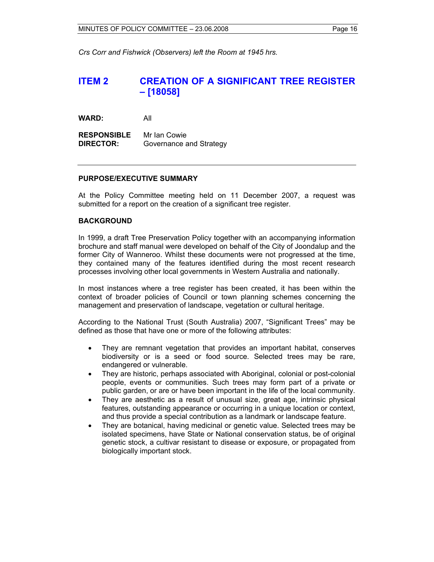*Crs Corr and Fishwick (Observers) left the Room at 1945 hrs.* 

## **ITEM 2 CREATION OF A SIGNIFICANT TREE REGISTER – [18058]**

**WARD:** All

**RESPONSIBLE** Mr Ian Cowie **DIRECTOR:** Governance and Strategy

#### **PURPOSE/EXECUTIVE SUMMARY**

At the Policy Committee meeting held on 11 December 2007, a request was submitted for a report on the creation of a significant tree register.

#### **BACKGROUND**

In 1999, a draft Tree Preservation Policy together with an accompanying information brochure and staff manual were developed on behalf of the City of Joondalup and the former City of Wanneroo. Whilst these documents were not progressed at the time, they contained many of the features identified during the most recent research processes involving other local governments in Western Australia and nationally.

In most instances where a tree register has been created, it has been within the context of broader policies of Council or town planning schemes concerning the management and preservation of landscape, vegetation or cultural heritage.

According to the National Trust (South Australia) 2007, "Significant Trees" may be defined as those that have one or more of the following attributes:

- They are remnant vegetation that provides an important habitat, conserves biodiversity or is a seed or food source. Selected trees may be rare, endangered or vulnerable.
- They are historic, perhaps associated with Aboriginal, colonial or post-colonial people, events or communities. Such trees may form part of a private or public garden, or are or have been important in the life of the local community.
- They are aesthetic as a result of unusual size, great age, intrinsic physical features, outstanding appearance or occurring in a unique location or context, and thus provide a special contribution as a landmark or landscape feature.
- They are botanical, having medicinal or genetic value. Selected trees may be isolated specimens, have State or National conservation status, be of original genetic stock, a cultivar resistant to disease or exposure, or propagated from biologically important stock.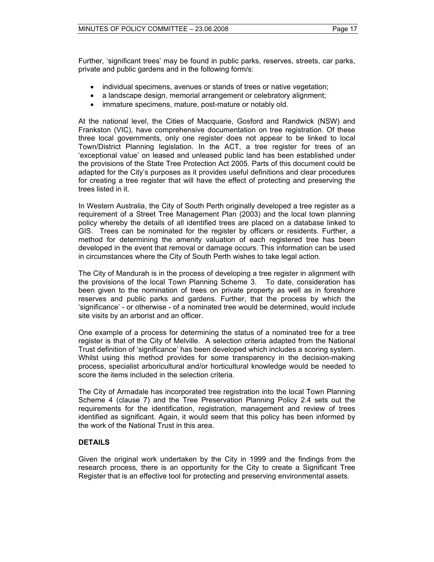Further, 'significant trees' may be found in public parks, reserves, streets, car parks, private and public gardens and in the following form/s:

- individual specimens, avenues or stands of trees or native vegetation;
- a landscape design, memorial arrangement or celebratory alignment;
- immature specimens, mature, post-mature or notably old.

At the national level, the Cities of Macquarie, Gosford and Randwick (NSW) and Frankston (VIC), have comprehensive documentation on tree registration. Of these three local governments, only one register does not appear to be linked to local Town/District Planning legislation. In the ACT, a tree register for trees of an 'exceptional value' on leased and unleased public land has been established under the provisions of the State Tree Protection Act 2005. Parts of this document could be adapted for the City's purposes as it provides useful definitions and clear procedures for creating a tree register that will have the effect of protecting and preserving the trees listed in it.

In Western Australia, the City of South Perth originally developed a tree register as a requirement of a Street Tree Management Plan (2003) and the local town planning policy whereby the details of all identified trees are placed on a database linked to GIS. Trees can be nominated for the register by officers or residents. Further, a method for determining the amenity valuation of each registered tree has been developed in the event that removal or damage occurs. This information can be used in circumstances where the City of South Perth wishes to take legal action.

The City of Mandurah is in the process of developing a tree register in alignment with the provisions of the local Town Planning Scheme 3. To date, consideration has been given to the nomination of trees on private property as well as in foreshore reserves and public parks and gardens. Further, that the process by which the 'significance' - or otherwise - of a nominated tree would be determined, would include site visits by an arborist and an officer.

One example of a process for determining the status of a nominated tree for a tree register is that of the City of Melville. A selection criteria adapted from the National Trust definition of 'significance' has been developed which includes a scoring system. Whilst using this method provides for some transparency in the decision-making process, specialist arboricultural and/or horticultural knowledge would be needed to score the items included in the selection criteria.

The City of Armadale has incorporated tree registration into the local Town Planning Scheme 4 (clause 7) and the Tree Preservation Planning Policy 2.4 sets out the requirements for the identification, registration, management and review of trees identified as significant. Again, it would seem that this policy has been informed by the work of the National Trust in this area.

#### **DETAILS**

Given the original work undertaken by the City in 1999 and the findings from the research process, there is an opportunity for the City to create a Significant Tree Register that is an effective tool for protecting and preserving environmental assets.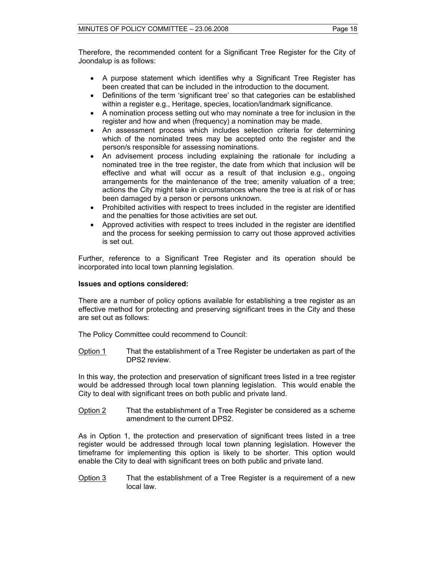Therefore, the recommended content for a Significant Tree Register for the City of Joondalup is as follows:

- A purpose statement which identifies why a Significant Tree Register has been created that can be included in the introduction to the document.
- Definitions of the term 'significant tree' so that categories can be established within a register e.g., Heritage, species, location/landmark significance.
- A nomination process setting out who may nominate a tree for inclusion in the register and how and when (frequency) a nomination may be made.
- An assessment process which includes selection criteria for determining which of the nominated trees may be accepted onto the register and the person/s responsible for assessing nominations.
- An advisement process including explaining the rationale for including a nominated tree in the tree register, the date from which that inclusion will be effective and what will occur as a result of that inclusion e.g., ongoing arrangements for the maintenance of the tree; amenity valuation of a tree; actions the City might take in circumstances where the tree is at risk of or has been damaged by a person or persons unknown.
- Prohibited activities with respect to trees included in the register are identified and the penalties for those activities are set out.
- Approved activities with respect to trees included in the register are identified and the process for seeking permission to carry out those approved activities is set out.

Further, reference to a Significant Tree Register and its operation should be incorporated into local town planning legislation.

### **Issues and options considered:**

There are a number of policy options available for establishing a tree register as an effective method for protecting and preserving significant trees in the City and these are set out as follows:

The Policy Committee could recommend to Council:

Option 1 That the establishment of a Tree Register be undertaken as part of the DPS2 review.

In this way, the protection and preservation of significant trees listed in a tree register would be addressed through local town planning legislation. This would enable the City to deal with significant trees on both public and private land.

Option 2 That the establishment of a Tree Register be considered as a scheme amendment to the current DPS2.

As in Option 1, the protection and preservation of significant trees listed in a tree register would be addressed through local town planning legislation. However the timeframe for implementing this option is likely to be shorter. This option would enable the City to deal with significant trees on both public and private land.

Option 3 That the establishment of a Tree Register is a requirement of a new local law.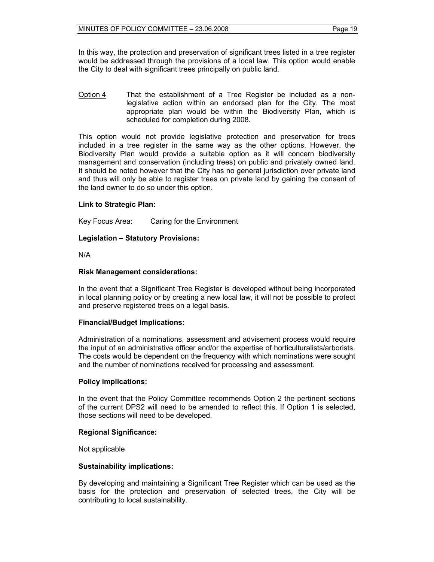In this way, the protection and preservation of significant trees listed in a tree register would be addressed through the provisions of a local law. This option would enable the City to deal with significant trees principally on public land.

Option 4 That the establishment of a Tree Register be included as a nonlegislative action within an endorsed plan for the City. The most appropriate plan would be within the Biodiversity Plan, which is scheduled for completion during 2008.

This option would not provide legislative protection and preservation for trees included in a tree register in the same way as the other options. However, the Biodiversity Plan would provide a suitable option as it will concern biodiversity management and conservation (including trees) on public and privately owned land. It should be noted however that the City has no general jurisdiction over private land and thus will only be able to register trees on private land by gaining the consent of the land owner to do so under this option.

#### **Link to Strategic Plan:**

Key Focus Area: Caring for the Environment

#### **Legislation – Statutory Provisions:**

N/A

#### **Risk Management considerations:**

In the event that a Significant Tree Register is developed without being incorporated in local planning policy or by creating a new local law, it will not be possible to protect and preserve registered trees on a legal basis.

#### **Financial/Budget Implications:**

Administration of a nominations, assessment and advisement process would require the input of an administrative officer and/or the expertise of horticulturalists/arborists. The costs would be dependent on the frequency with which nominations were sought and the number of nominations received for processing and assessment.

#### **Policy implications:**

In the event that the Policy Committee recommends Option 2 the pertinent sections of the current DPS2 will need to be amended to reflect this. If Option 1 is selected, those sections will need to be developed.

#### **Regional Significance:**

Not applicable

#### **Sustainability implications:**

By developing and maintaining a Significant Tree Register which can be used as the basis for the protection and preservation of selected trees, the City will be contributing to local sustainability.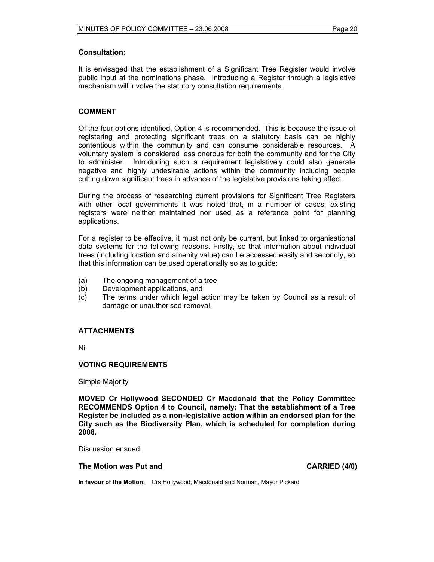#### **Consultation:**

It is envisaged that the establishment of a Significant Tree Register would involve public input at the nominations phase. Introducing a Register through a legislative mechanism will involve the statutory consultation requirements.

#### **COMMENT**

Of the four options identified, Option 4 is recommended. This is because the issue of registering and protecting significant trees on a statutory basis can be highly contentious within the community and can consume considerable resources. A voluntary system is considered less onerous for both the community and for the City to administer. Introducing such a requirement legislatively could also generate negative and highly undesirable actions within the community including people cutting down significant trees in advance of the legislative provisions taking effect.

During the process of researching current provisions for Significant Tree Registers with other local governments it was noted that, in a number of cases, existing registers were neither maintained nor used as a reference point for planning applications.

For a register to be effective, it must not only be current, but linked to organisational data systems for the following reasons. Firstly, so that information about individual trees (including location and amenity value) can be accessed easily and secondly, so that this information can be used operationally so as to guide:

- (a) The ongoing management of a tree
- (b) Development applications, and
- (c) The terms under which legal action may be taken by Council as a result of damage or unauthorised removal.

#### **ATTACHMENTS**

Nil

#### **VOTING REQUIREMENTS**

Simple Majority

**MOVED Cr Hollywood SECONDED Cr Macdonald that the Policy Committee RECOMMENDS Option 4 to Council, namely: That the establishment of a Tree Register be included as a non-legislative action within an endorsed plan for the City such as the Biodiversity Plan, which is scheduled for completion during 2008.** 

Discussion ensued.

#### The Motion was Put and **CARRIED** (4/0)

**In favour of the Motion:** Crs Hollywood, Macdonald and Norman, Mayor Pickard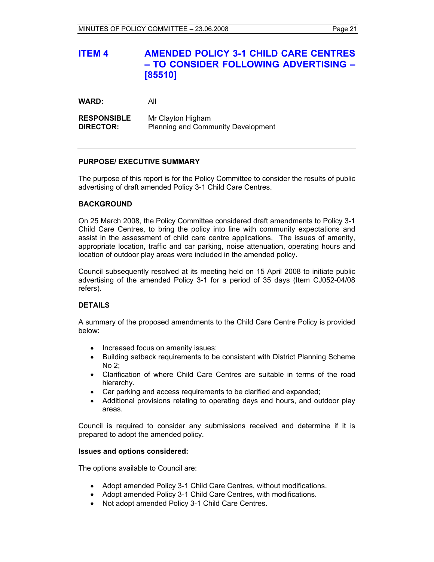## **ITEM 4 AMENDED POLICY 3-1 CHILD CARE CENTRES – TO CONSIDER FOLLOWING ADVERTISING – [85510]**

**WARD:** All

**RESPONSIBLE** Mr Clayton Higham **DIRECTOR:** Planning and Community Development

#### **PURPOSE/ EXECUTIVE SUMMARY**

The purpose of this report is for the Policy Committee to consider the results of public advertising of draft amended Policy 3-1 Child Care Centres.

#### **BACKGROUND**

On 25 March 2008, the Policy Committee considered draft amendments to Policy 3-1 Child Care Centres, to bring the policy into line with community expectations and assist in the assessment of child care centre applications. The issues of amenity, appropriate location, traffic and car parking, noise attenuation, operating hours and location of outdoor play areas were included in the amended policy.

Council subsequently resolved at its meeting held on 15 April 2008 to initiate public advertising of the amended Policy 3-1 for a period of 35 days (Item CJ052-04/08 refers).

#### **DETAILS**

A summary of the proposed amendments to the Child Care Centre Policy is provided below:

- Increased focus on amenity issues;
- Building setback requirements to be consistent with District Planning Scheme  $N<sub>0</sub>$  2.
- Clarification of where Child Care Centres are suitable in terms of the road hierarchy.
- Car parking and access requirements to be clarified and expanded;
- Additional provisions relating to operating days and hours, and outdoor play areas.

Council is required to consider any submissions received and determine if it is prepared to adopt the amended policy.

#### **Issues and options considered:**

The options available to Council are:

- Adopt amended Policy 3-1 Child Care Centres, without modifications.
- Adopt amended Policy 3-1 Child Care Centres, with modifications.
- Not adopt amended Policy 3-1 Child Care Centres.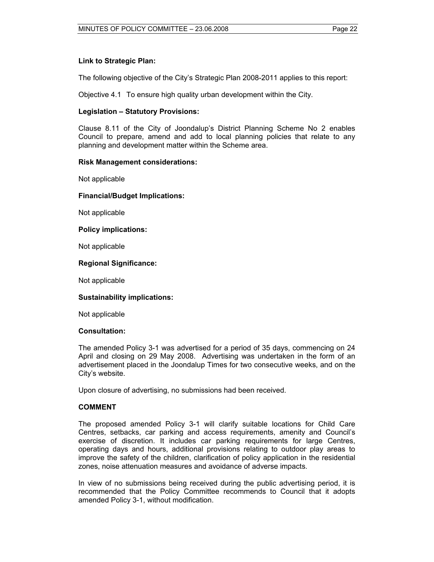#### **Link to Strategic Plan:**

The following objective of the City's Strategic Plan 2008-2011 applies to this report:

Objective 4.1 To ensure high quality urban development within the City.

#### **Legislation – Statutory Provisions:**

Clause 8.11 of the City of Joondalup's District Planning Scheme No 2 enables Council to prepare, amend and add to local planning policies that relate to any planning and development matter within the Scheme area.

#### **Risk Management considerations:**

Not applicable

#### **Financial/Budget Implications:**

Not applicable

#### **Policy implications:**

Not applicable

#### **Regional Significance:**

Not applicable

#### **Sustainability implications:**

Not applicable

#### **Consultation:**

The amended Policy 3-1 was advertised for a period of 35 days, commencing on 24 April and closing on 29 May 2008. Advertising was undertaken in the form of an advertisement placed in the Joondalup Times for two consecutive weeks, and on the City's website.

Upon closure of advertising, no submissions had been received.

#### **COMMENT**

The proposed amended Policy 3-1 will clarify suitable locations for Child Care Centres, setbacks, car parking and access requirements, amenity and Council's exercise of discretion. It includes car parking requirements for large Centres, operating days and hours, additional provisions relating to outdoor play areas to improve the safety of the children, clarification of policy application in the residential zones, noise attenuation measures and avoidance of adverse impacts.

In view of no submissions being received during the public advertising period, it is recommended that the Policy Committee recommends to Council that it adopts amended Policy 3-1, without modification.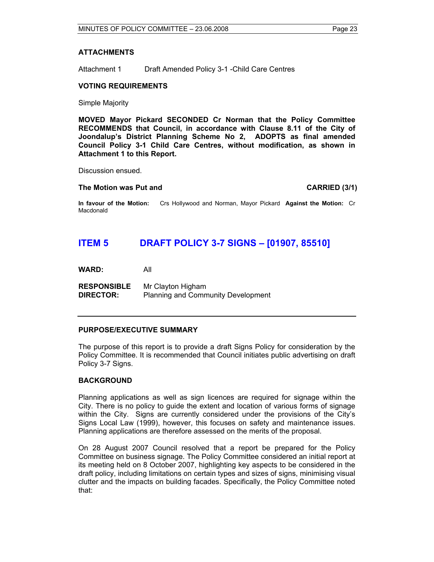#### **ATTACHMENTS**

Attachment 1 Draft Amended Policy 3-1 -Child Care Centres

#### **VOTING REQUIREMENTS**

Simple Majority

**MOVED Mayor Pickard SECONDED Cr Norman that the Policy Committee RECOMMENDS that Council, in accordance with Clause 8.11 of the City of Joondalup's District Planning Scheme No 2, ADOPTS as final amended Council Policy 3-1 Child Care Centres, without modification, as shown in Attachment 1 to this Report.** 

Discussion ensued.

#### **The Motion was Put and CARRIED (3/1) CARRIED (3/1)**

**In favour of the Motion:** Crs Hollywood and Norman, Mayor Pickard **Against the Motion:** Cr Macdonald

## **ITEM 5 DRAFT POLICY 3-7 SIGNS – [01907, 85510]**

**WARD:** All

**RESPONSIBLE** Mr Clayton Higham **DIRECTOR:** Planning and Community Development

#### **PURPOSE/EXECUTIVE SUMMARY**

The purpose of this report is to provide a draft Signs Policy for consideration by the Policy Committee. It is recommended that Council initiates public advertising on draft Policy 3-7 Signs.

#### **BACKGROUND**

Planning applications as well as sign licences are required for signage within the City. There is no policy to guide the extent and location of various forms of signage within the City. Signs are currently considered under the provisions of the City's Signs Local Law (1999), however, this focuses on safety and maintenance issues. Planning applications are therefore assessed on the merits of the proposal.

On 28 August 2007 Council resolved that a report be prepared for the Policy Committee on business signage. The Policy Committee considered an initial report at its meeting held on 8 October 2007, highlighting key aspects to be considered in the draft policy, including limitations on certain types and sizes of signs, minimising visual clutter and the impacts on building facades. Specifically, the Policy Committee noted that: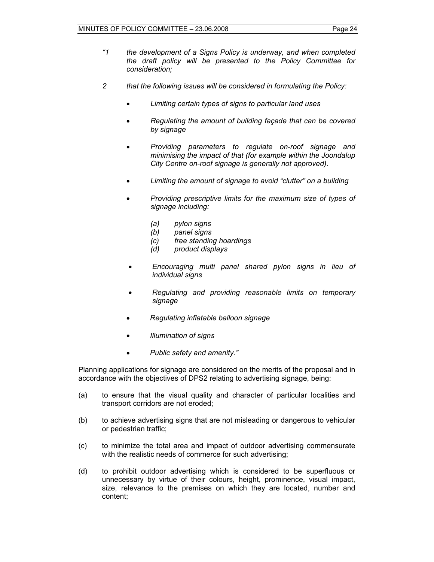- *"1 the development of a Signs Policy is underway, and when completed the draft policy will be presented to the Policy Committee for consideration;*
- *2 that the following issues will be considered in formulating the Policy:* 
	- *Limiting certain types of signs to particular land uses*
	- *Regulating the amount of building façade that can be covered by signage*
	- *Providing parameters to regulate on-roof signage and minimising the impact of that (for example within the Joondalup City Centre on-roof signage is generally not approved).*
	- *Limiting the amount of signage to avoid "clutter" on a building*
	- *Providing prescriptive limits for the maximum size of types of signage including:* 
		- *(a) pylon signs*
		- *(b) panel signs*
		- *(c) free standing hoardings*
		- *(d) product displays*
	- *Encouraging multi panel shared pylon signs in lieu of individual signs*
	- *Regulating and providing reasonable limits on temporary signage*
	- *Regulating inflatable balloon signage*
	- *Illumination of signs*
	- *Public safety and amenity."*

Planning applications for signage are considered on the merits of the proposal and in accordance with the objectives of DPS2 relating to advertising signage, being:

- (a) to ensure that the visual quality and character of particular localities and transport corridors are not eroded;
- (b) to achieve advertising signs that are not misleading or dangerous to vehicular or pedestrian traffic;
- (c) to minimize the total area and impact of outdoor advertising commensurate with the realistic needs of commerce for such advertising;
- (d) to prohibit outdoor advertising which is considered to be superfluous or unnecessary by virtue of their colours, height, prominence, visual impact, size, relevance to the premises on which they are located, number and content;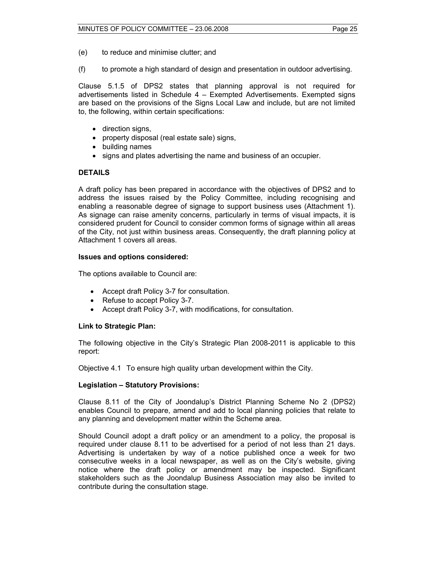- (e) to reduce and minimise clutter; and
- (f) to promote a high standard of design and presentation in outdoor advertising.

Clause 5.1.5 of DPS2 states that planning approval is not required for advertisements listed in Schedule 4 – Exempted Advertisements. Exempted signs are based on the provisions of the Signs Local Law and include, but are not limited to, the following, within certain specifications:

- direction signs,
- property disposal (real estate sale) signs,
- building names
- signs and plates advertising the name and business of an occupier.

#### **DETAILS**

A draft policy has been prepared in accordance with the objectives of DPS2 and to address the issues raised by the Policy Committee, including recognising and enabling a reasonable degree of signage to support business uses (Attachment 1). As signage can raise amenity concerns, particularly in terms of visual impacts, it is considered prudent for Council to consider common forms of signage within all areas of the City, not just within business areas. Consequently, the draft planning policy at Attachment 1 covers all areas.

#### **Issues and options considered:**

The options available to Council are:

- Accept draft Policy 3-7 for consultation.
- Refuse to accept Policy 3-7.
- Accept draft Policy 3-7, with modifications, for consultation.

#### **Link to Strategic Plan:**

The following objective in the City's Strategic Plan 2008-2011 is applicable to this report:

Objective 4.1 To ensure high quality urban development within the City.

#### **Legislation – Statutory Provisions:**

Clause 8.11 of the City of Joondalup's District Planning Scheme No 2 (DPS2) enables Council to prepare, amend and add to local planning policies that relate to any planning and development matter within the Scheme area.

Should Council adopt a draft policy or an amendment to a policy, the proposal is required under clause 8.11 to be advertised for a period of not less than 21 days. Advertising is undertaken by way of a notice published once a week for two consecutive weeks in a local newspaper, as well as on the City's website, giving notice where the draft policy or amendment may be inspected. Significant stakeholders such as the Joondalup Business Association may also be invited to contribute during the consultation stage.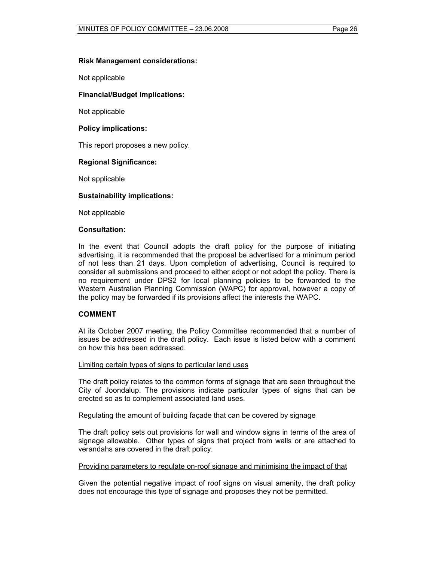#### **Risk Management considerations:**

Not applicable

#### **Financial/Budget Implications:**

Not applicable

#### **Policy implications:**

This report proposes a new policy.

#### **Regional Significance:**

Not applicable

#### **Sustainability implications:**

Not applicable

#### **Consultation:**

In the event that Council adopts the draft policy for the purpose of initiating advertising, it is recommended that the proposal be advertised for a minimum period of not less than 21 days. Upon completion of advertising, Council is required to consider all submissions and proceed to either adopt or not adopt the policy. There is no requirement under DPS2 for local planning policies to be forwarded to the Western Australian Planning Commission (WAPC) for approval, however a copy of the policy may be forwarded if its provisions affect the interests the WAPC.

#### **COMMENT**

At its October 2007 meeting, the Policy Committee recommended that a number of issues be addressed in the draft policy. Each issue is listed below with a comment on how this has been addressed.

#### Limiting certain types of signs to particular land uses

The draft policy relates to the common forms of signage that are seen throughout the City of Joondalup. The provisions indicate particular types of signs that can be erected so as to complement associated land uses.

#### Regulating the amount of building façade that can be covered by signage

The draft policy sets out provisions for wall and window signs in terms of the area of signage allowable. Other types of signs that project from walls or are attached to verandahs are covered in the draft policy.

#### Providing parameters to regulate on-roof signage and minimising the impact of that

Given the potential negative impact of roof signs on visual amenity, the draft policy does not encourage this type of signage and proposes they not be permitted.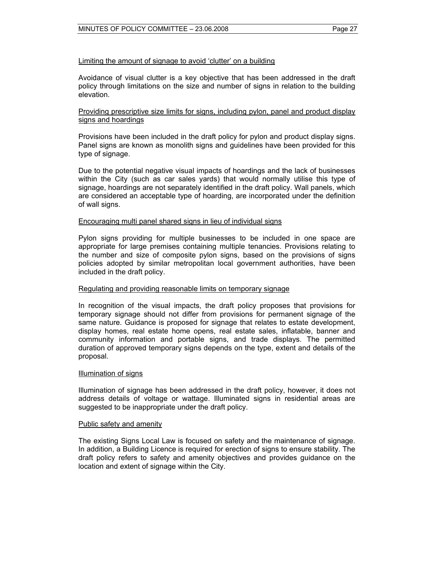#### Limiting the amount of signage to avoid 'clutter' on a building

Avoidance of visual clutter is a key objective that has been addressed in the draft policy through limitations on the size and number of signs in relation to the building elevation.

#### Providing prescriptive size limits for signs, including pylon, panel and product display signs and hoardings

Provisions have been included in the draft policy for pylon and product display signs. Panel signs are known as monolith signs and guidelines have been provided for this type of signage.

Due to the potential negative visual impacts of hoardings and the lack of businesses within the City (such as car sales yards) that would normally utilise this type of signage, hoardings are not separately identified in the draft policy. Wall panels, which are considered an acceptable type of hoarding, are incorporated under the definition of wall signs.

#### Encouraging multi panel shared signs in lieu of individual signs

Pylon signs providing for multiple businesses to be included in one space are appropriate for large premises containing multiple tenancies. Provisions relating to the number and size of composite pylon signs, based on the provisions of signs policies adopted by similar metropolitan local government authorities, have been included in the draft policy.

#### Regulating and providing reasonable limits on temporary signage

In recognition of the visual impacts, the draft policy proposes that provisions for temporary signage should not differ from provisions for permanent signage of the same nature. Guidance is proposed for signage that relates to estate development, display homes, real estate home opens, real estate sales, inflatable, banner and community information and portable signs, and trade displays. The permitted duration of approved temporary signs depends on the type, extent and details of the proposal.

#### Illumination of signs

Illumination of signage has been addressed in the draft policy, however, it does not address details of voltage or wattage. Illuminated signs in residential areas are suggested to be inappropriate under the draft policy.

#### Public safety and amenity

The existing Signs Local Law is focused on safety and the maintenance of signage. In addition, a Building Licence is required for erection of signs to ensure stability. The draft policy refers to safety and amenity objectives and provides guidance on the location and extent of signage within the City.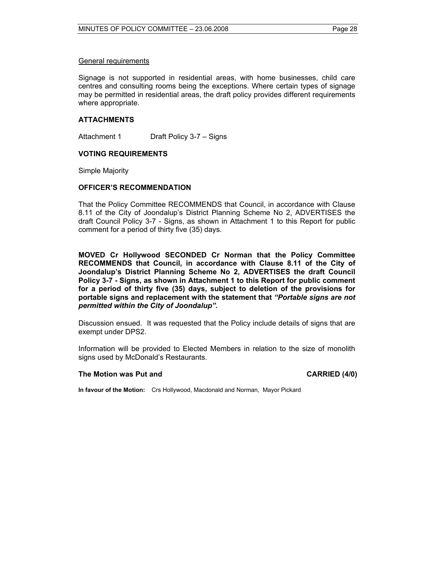#### General requirements

Signage is not supported in residential areas, with home businesses, child care centres and consulting rooms being the exceptions. Where certain types of signage may be permitted in residential areas, the draft policy provides different requirements where appropriate.

#### **ATTACHMENTS**

Attachment 1 Draft Policy 3-7 – Signs

#### **VOTING REQUIREMENTS**

Simple Majority

#### **OFFICER'S RECOMMENDATION**

That the Policy Committee RECOMMENDS that Council, in accordance with Clause 8.11 of the City of Joondalup's District Planning Scheme No 2, ADVERTISES the draft Council Policy 3-7 - Signs, as shown in Attachment 1 to this Report for public comment for a period of thirty five (35) days.

**MOVED Cr Hollywood SECONDED Cr Norman that the Policy Committee RECOMMENDS that Council, in accordance with Clause 8.11 of the City of Joondalup's District Planning Scheme No 2, ADVERTISES the draft Council Policy 3-7 - Signs, as shown in Attachment 1 to this Report for public comment for a period of thirty five (35) days, subject to deletion of the provisions for portable signs and replacement with the statement that** *"Portable signs are not permitted within the City of Joondalup".* 

Discussion ensued. It was requested that the Policy include details of signs that are exempt under DPS2.

Information will be provided to Elected Members in relation to the size of monolith signs used by McDonald's Restaurants.

#### **The Motion was Put and CARRIED (4/0) CARRIED** (4/0)

**In favour of the Motion:** Crs Hollywood, Macdonald and Norman, Mayor Pickard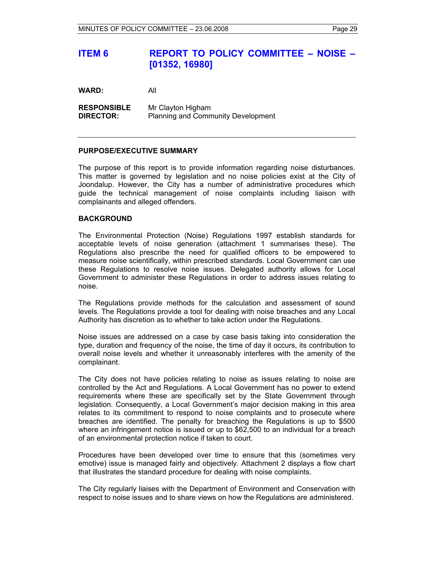## **ITEM 6 REPORT TO POLICY COMMITTEE – NOISE – [01352, 16980]**

**WARD:** All

**RESPONSIBLE** Mr Clayton Higham **DIRECTOR:** Planning and Community Development

#### **PURPOSE/EXECUTIVE SUMMARY**

The purpose of this report is to provide information regarding noise disturbances. This matter is governed by legislation and no noise policies exist at the City of Joondalup. However, the City has a number of administrative procedures which guide the technical management of noise complaints including liaison with complainants and alleged offenders.

#### **BACKGROUND**

The Environmental Protection (Noise) Regulations 1997 establish standards for acceptable levels of noise generation (attachment 1 summarises these). The Regulations also prescribe the need for qualified officers to be empowered to measure noise scientifically, within prescribed standards. Local Government can use these Regulations to resolve noise issues. Delegated authority allows for Local Government to administer these Regulations in order to address issues relating to noise.

The Regulations provide methods for the calculation and assessment of sound levels. The Regulations provide a tool for dealing with noise breaches and any Local Authority has discretion as to whether to take action under the Regulations.

Noise issues are addressed on a case by case basis taking into consideration the type, duration and frequency of the noise, the time of day it occurs, its contribution to overall noise levels and whether it unreasonably interferes with the amenity of the complainant.

The City does not have policies relating to noise as issues relating to noise are controlled by the Act and Regulations. A Local Government has no power to extend requirements where these are specifically set by the State Government through legislation. Consequently, a Local Government's major decision making in this area relates to its commitment to respond to noise complaints and to prosecute where breaches are identified. The penalty for breaching the Regulations is up to \$500 where an infringement notice is issued or up to \$62,500 to an individual for a breach of an environmental protection notice if taken to court.

Procedures have been developed over time to ensure that this (sometimes very emotive) issue is managed fairly and objectively. Attachment 2 displays a flow chart that illustrates the standard procedure for dealing with noise complaints.

The City regularly liaises with the Department of Environment and Conservation with respect to noise issues and to share views on how the Regulations are administered.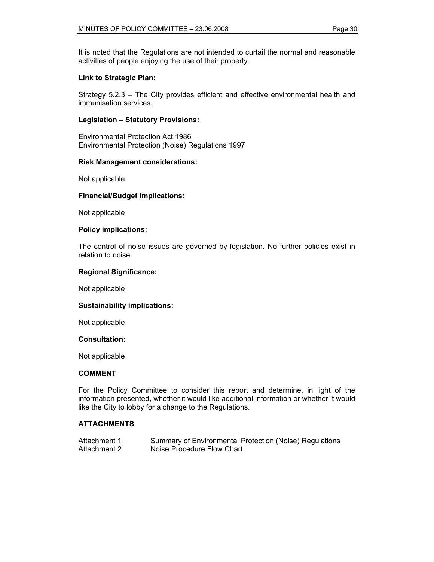It is noted that the Regulations are not intended to curtail the normal and reasonable activities of people enjoying the use of their property.

#### **Link to Strategic Plan:**

Strategy 5.2.3 – The City provides efficient and effective environmental health and immunisation services.

#### **Legislation – Statutory Provisions:**

Environmental Protection Act 1986 Environmental Protection (Noise) Regulations 1997

#### **Risk Management considerations:**

Not applicable

#### **Financial/Budget Implications:**

Not applicable

#### **Policy implications:**

The control of noise issues are governed by legislation. No further policies exist in relation to noise.

#### **Regional Significance:**

Not applicable

#### **Sustainability implications:**

Not applicable

#### **Consultation:**

Not applicable

#### **COMMENT**

For the Policy Committee to consider this report and determine, in light of the information presented, whether it would like additional information or whether it would like the City to lobby for a change to the Regulations.

#### **ATTACHMENTS**

| Attachment 1 | Summary of Environmental Protection (Noise) Regulations |
|--------------|---------------------------------------------------------|
| Attachment 2 | Noise Procedure Flow Chart                              |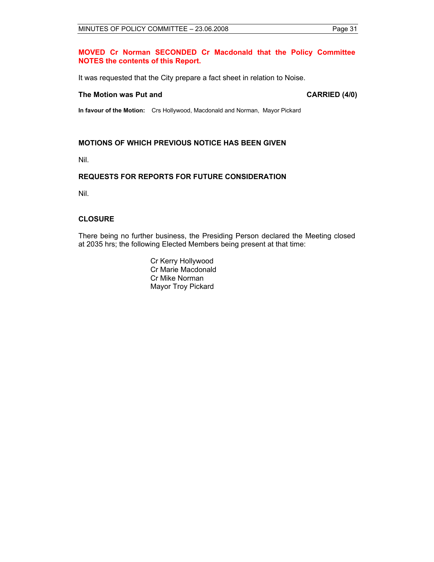#### **MOVED Cr Norman SECONDED Cr Macdonald that the Policy Committee NOTES the contents of this Report.**

It was requested that the City prepare a fact sheet in relation to Noise.

#### The Motion was Put and **CARRIED** (4/0)

**In favour of the Motion:** Crs Hollywood, Macdonald and Norman, Mayor Pickard

#### **MOTIONS OF WHICH PREVIOUS NOTICE HAS BEEN GIVEN**

Nil.

#### **REQUESTS FOR REPORTS FOR FUTURE CONSIDERATION**

Nil.

#### **CLOSURE**

There being no further business, the Presiding Person declared the Meeting closed at 2035 hrs; the following Elected Members being present at that time:

> Cr Kerry Hollywood Cr Marie Macdonald Cr Mike Norman Mayor Troy Pickard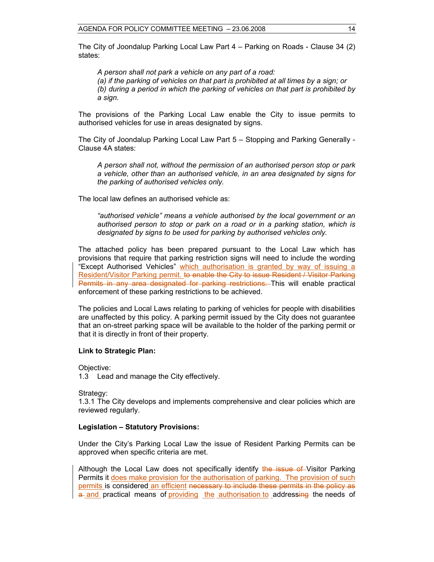The City of Joondalup Parking Local Law Part 4 – Parking on Roads - Clause 34 (2) states:

*A person shall not park a vehicle on any part of a road: (a) if the parking of vehicles on that part is prohibited at all times by a sign; or (b) during a period in which the parking of vehicles on that part is prohibited by a sign.* 

The provisions of the Parking Local Law enable the City to issue permits to authorised vehicles for use in areas designated by signs.

The City of Joondalup Parking Local Law Part 5 – Stopping and Parking Generally - Clause 4A states:

*A person shall not, without the permission of an authorised person stop or park a vehicle, other than an authorised vehicle, in an area designated by signs for the parking of authorised vehicles only.* 

The local law defines an authorised vehicle as:

*"authorised vehicle" means a vehicle authorised by the local government or an authorised person to stop or park on a road or in a parking station, which is designated by signs to be used for parking by authorised vehicles only.* 

The attached policy has been prepared pursuant to the Local Law which has provisions that require that parking restriction signs will need to include the wording "Except Authorised Vehicles" which authorisation is granted by way of issuing a Resident/Visitor Parking permit. to enable the City to issue Resident / Visitor Parking Permits in any area designated for parking restrictions. This will enable practical enforcement of these parking restrictions to be achieved.

The policies and Local Laws relating to parking of vehicles for people with disabilities are unaffected by this policy. A parking permit issued by the City does not guarantee that an on-street parking space will be available to the holder of the parking permit or that it is directly in front of their property.

#### **Link to Strategic Plan:**

Objective:

1.3 Lead and manage the City effectively.

Strategy:

1.3.1 The City develops and implements comprehensive and clear policies which are reviewed regularly.

#### **Legislation – Statutory Provisions:**

Under the City's Parking Local Law the issue of Resident Parking Permits can be approved when specific criteria are met.

Although the Local Law does not specifically identify the issue of Visitor Parking Permits it does make provision for the authorisation of parking. The provision of such permits is considered an efficient necessary to include these permits in the policy as a and practical means of providing the authorisation to addressing the needs of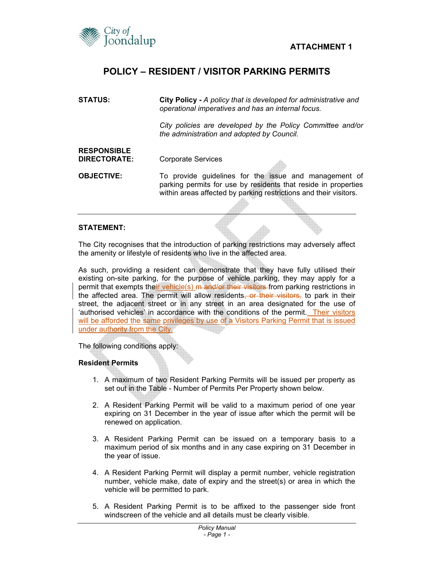

## **POLICY – RESIDENT / VISITOR PARKING PERMITS**

| STATUS:                            | City Policy - A policy that is developed for administrative and<br>operational imperatives and has an internal focus.                                                                        |  |
|------------------------------------|----------------------------------------------------------------------------------------------------------------------------------------------------------------------------------------------|--|
|                                    | City policies are developed by the Policy Committee and/or<br>the administration and adopted by Council.                                                                                     |  |
| <b>RESPONSIBLE</b><br>DIRECTORATE: | <b>Corporate Services</b>                                                                                                                                                                    |  |
| <b>OBJECTIVE:</b>                  | To provide guidelines for the issue and management of<br>parking permits for use by residents that reside in properties<br>within areas affected by parking restrictions and their visitors. |  |
|                                    |                                                                                                                                                                                              |  |

#### **STATEMENT:**

The City recognises that the introduction of parking restrictions may adversely affect the amenity or lifestyle of residents who live in the affected area.

As such, providing a resident can demonstrate that they have fully utilised their existing on-site parking, for the purpose of vehicle parking, they may apply for a permit that exempts their vehicle(s) <del>m and/or their visitors</del> from parking restrictions in the affected area. The permit will allow residents, or their visitors, to park in their street, the adjacent street or in any street in an area designated for the use of 'authorised vehicles' in accordance with the conditions of the permit. Their visitors will be afforded the same privileges by use of a Visitors Parking Permit that is issued under authority from the City.

The following conditions apply:

#### **Resident Permits**

- 1. A maximum of two Resident Parking Permits will be issued per property as set out in the Table - Number of Permits Per Property shown below.
- 2. A Resident Parking Permit will be valid to a maximum period of one year expiring on 31 December in the year of issue after which the permit will be renewed on application.
- 3. A Resident Parking Permit can be issued on a temporary basis to a maximum period of six months and in any case expiring on 31 December in the year of issue.
- 4. A Resident Parking Permit will display a permit number, vehicle registration number, vehicle make, date of expiry and the street(s) or area in which the vehicle will be permitted to park.
- 5. A Resident Parking Permit is to be affixed to the passenger side front windscreen of the vehicle and all details must be clearly visible.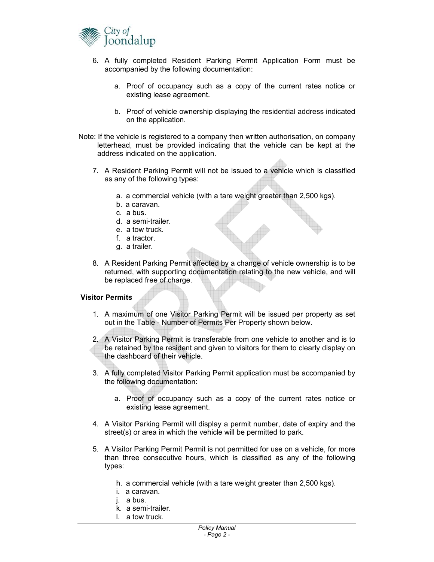

- 6. A fully completed Resident Parking Permit Application Form must be accompanied by the following documentation:
	- a. Proof of occupancy such as a copy of the current rates notice or existing lease agreement.
	- b. Proof of vehicle ownership displaying the residential address indicated on the application.
- Note: If the vehicle is registered to a company then written authorisation, on company letterhead, must be provided indicating that the vehicle can be kept at the address indicated on the application.
	- 7. A Resident Parking Permit will not be issued to a vehicle which is classified as any of the following types:
		- a. a commercial vehicle (with a tare weight greater than 2,500 kgs).
		- b. a caravan.
		- c. a bus.
		- d. a semi-trailer.
		- e. a tow truck.
		- f. a tractor.
		- g. a trailer.
	- 8. A Resident Parking Permit affected by a change of vehicle ownership is to be returned, with supporting documentation relating to the new vehicle, and will be replaced free of charge.

#### **Visitor Permits**

- 1. A maximum of one Visitor Parking Permit will be issued per property as set out in the Table - Number of Permits Per Property shown below.
- 2. A Visitor Parking Permit is transferable from one vehicle to another and is to be retained by the resident and given to visitors for them to clearly display on the dashboard of their vehicle.
- 3. A fully completed Visitor Parking Permit application must be accompanied by the following documentation:
	- a. Proof of occupancy such as a copy of the current rates notice or existing lease agreement.
- 4. A Visitor Parking Permit will display a permit number, date of expiry and the street(s) or area in which the vehicle will be permitted to park.
- 5. A Visitor Parking Permit Permit is not permitted for use on a vehicle, for more than three consecutive hours, which is classified as any of the following types:
	- h. a commercial vehicle (with a tare weight greater than 2,500 kgs).
	- i. a caravan.
	- j. a bus.
	- k. a semi-trailer.
	- l. a tow truck.